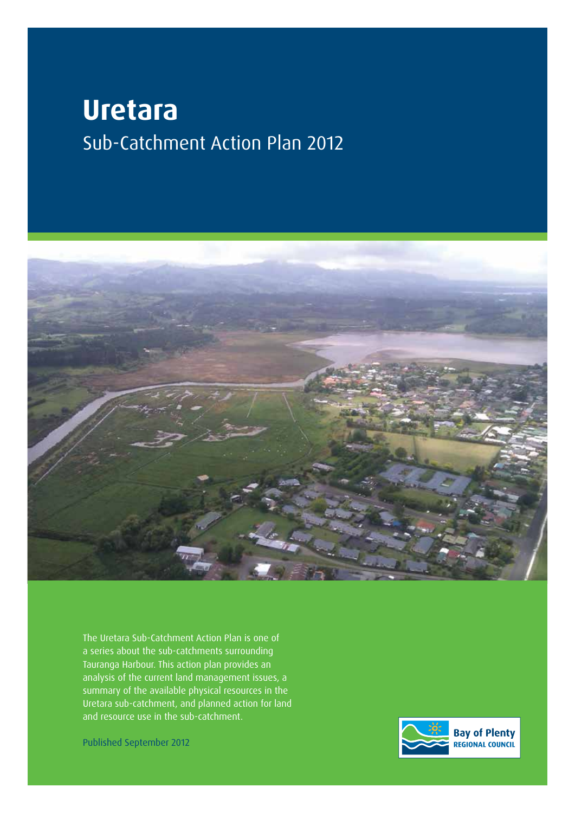# **Uretara** Sub-Catchment Action Plan 2012



The Uretara Sub-Catchment Action Plan is one of a series about the sub-catchments surrounding Tauranga Harbour. This action plan provides an analysis of the current land management issues, a summary of the available physical resources in the Uretara sub-catchment, and planned action for land and resource use in the sub-catchment.

Published September 2012

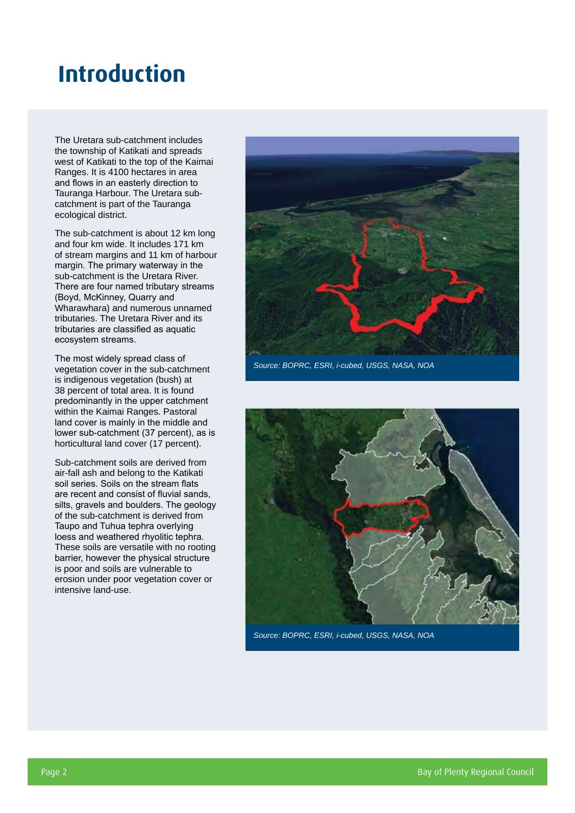### **Introduction**

The Uretara sub-catchment includes the township of Katikati and spreads west of Katikati to the top of the Kaimai Ranges. It is 4100 hectares in area and flows in an easterly direction to Tauranga Harbour. The Uretara subcatchment is part of the Tauranga ecological district.

The sub-catchment is about 12 km long and four km wide. It includes 171 km of stream margins and 11 km of harbour margin. The primary waterway in the sub-catchment is the Uretara River. There are four named tributary streams (Boyd, McKinney, Quarry and Wharawhara) and numerous unnamed tributaries. The Uretara River and its tributaries are classified as aquatic ecosystem streams.

The most widely spread class of vegetation cover in the sub-catchment is indigenous vegetation (bush) at 38 percent of total area. It is found predominantly in the upper catchment within the Kaimai Ranges. Pastoral land cover is mainly in the middle and lower sub-catchment (37 percent), as is horticultural land cover (17 percent).

Sub-catchment soils are derived from air-fall ash and belong to the Katikati soil series. Soils on the stream flats are recent and consist of fluvial sands, silts, gravels and boulders. The geology of the sub-catchment is derived from Taupo and Tuhua tephra overlying loess and weathered rhyolitic tephra. These soils are versatile with no rooting barrier, however the physical structure is poor and soils are vulnerable to erosion under poor vegetation cover or intensive land-use.



*Source: BOPRC, ESRI, i-cubed, USGS, NASA, NOA*



*Source: BOPRC, ESRI, i-cubed, USGS, NASA, NOA*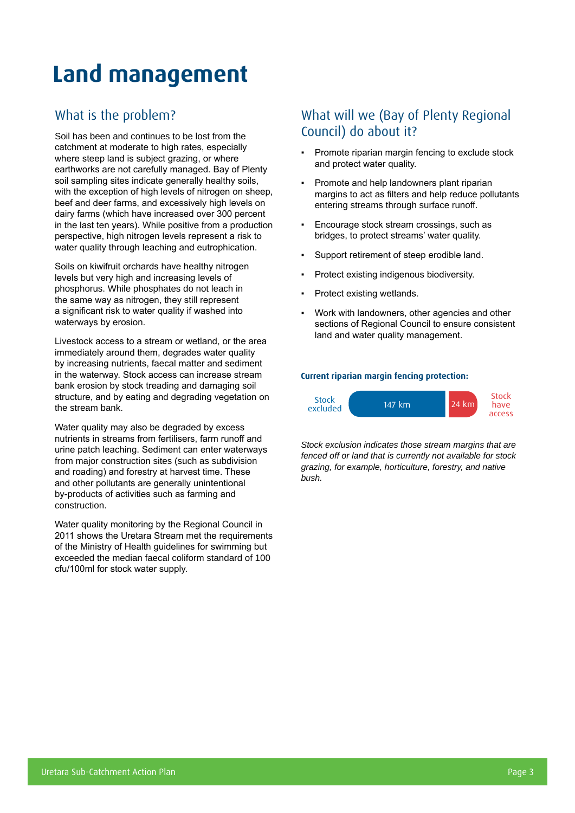# **Land management**

### What is the problem?

Soil has been and continues to be lost from the catchment at moderate to high rates, especially where steep land is subject grazing, or where earthworks are not carefully managed. Bay of Plenty soil sampling sites indicate generally healthy soils, with the exception of high levels of nitrogen on sheep, beef and deer farms, and excessively high levels on dairy farms (which have increased over 300 percent in the last ten years). While positive from a production perspective, high nitrogen levels represent a risk to water quality through leaching and eutrophication.

Soils on kiwifruit orchards have healthy nitrogen levels but very high and increasing levels of phosphorus. While phosphates do not leach in the same way as nitrogen, they still represent a significant risk to water quality if washed into waterways by erosion.

Livestock access to a stream or wetland, or the area immediately around them, degrades water quality by increasing nutrients, faecal matter and sediment in the waterway. Stock access can increase stream bank erosion by stock treading and damaging soil structure, and by eating and degrading vegetation on the stream bank.

Water quality may also be degraded by excess nutrients in streams from fertilisers, farm runoff and urine patch leaching. Sediment can enter waterways from major construction sites (such as subdivision and roading) and forestry at harvest time. These and other pollutants are generally unintentional by-products of activities such as farming and construction.

Water quality monitoring by the Regional Council in 2011 shows the Uretara Stream met the requirements of the Ministry of Health guidelines for swimming but exceeded the median faecal coliform standard of 100 cfu/100ml for stock water supply.

### What will we (Bay of Plenty Regional Council) do about it?

- Promote riparian margin fencing to exclude stock and protect water quality.
- Promote and help landowners plant riparian margins to act as filters and help reduce pollutants entering streams through surface runoff.
- Encourage stock stream crossings, such as bridges, to protect streams' water quality.
- Support retirement of steep erodible land.
- Protect existing indigenous biodiversity.
- Protect existing wetlands.
- Work with landowners, other agencies and other sections of Regional Council to ensure consistent land and water quality management.

#### **Current riparian margin fencing protection:**



*Stock exclusion indicates those stream margins that are fenced off or land that is currently not available for stock grazing, for example, horticulture, forestry, and native bush.*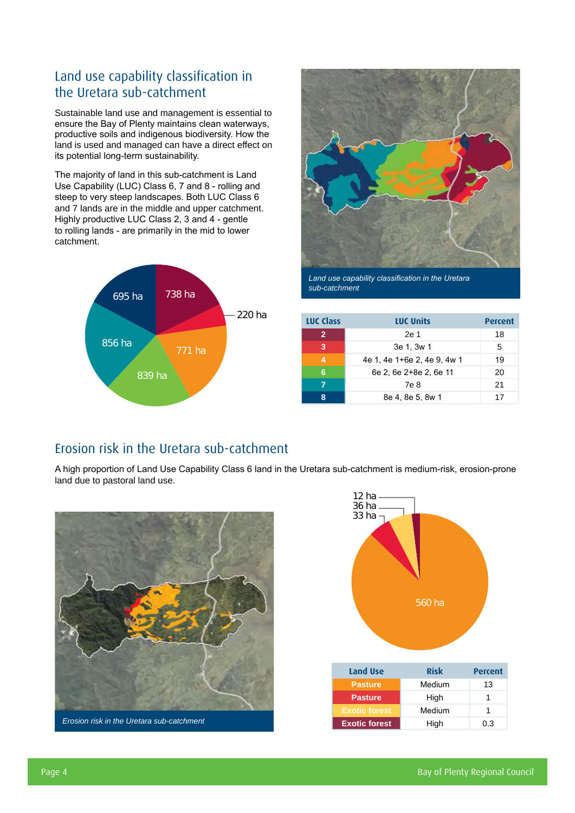### Land use capability classification in the Uretara sub-catchment

Sustainable land use and management is essential to ensure the Bay of Plenty maintains clean waterways, productive soils and indigenous biodiversity. How the land is used and managed can have a direct effect on its potential long-term sustainability.

The majority of land in this sub-catchment is Land Use Capability (LUC) Class 6, 7 and 8 - rolling and steep to very steep landscapes. Both LUC Class 6 and 7 lands are in the middle and upper catchment. Highly productive LUC Class 2, 3 and 4 - gentle to rolling lands - are primarily in the mid to lower catchment.





*Land use capability classification in the Uretara sub-catchment*

| <b>LUC Class</b> | <b>LUC Units</b>            | Percent |
|------------------|-----------------------------|---------|
| $\mathbf{2}$     | 2e 1                        | 18      |
| 3                | 3e 1, 3w 1                  | 5       |
| 4                | 4e 1, 4e 1+6e 2, 4e 9, 4w 1 | 19      |
| 6                | 6e 2, 6e 2+8e 2, 6e 11      | 20      |
|                  | 7e 8                        | 21      |
|                  | 8e 4, 8e 5, 8w 1            | 17      |

#### Erosion risk in the Uretara sub-catchment

A high proportion of Land Use Capability Class 6 land in the Uretara sub-catchment is medium-risk, erosion-prone land due to pastoral land use.



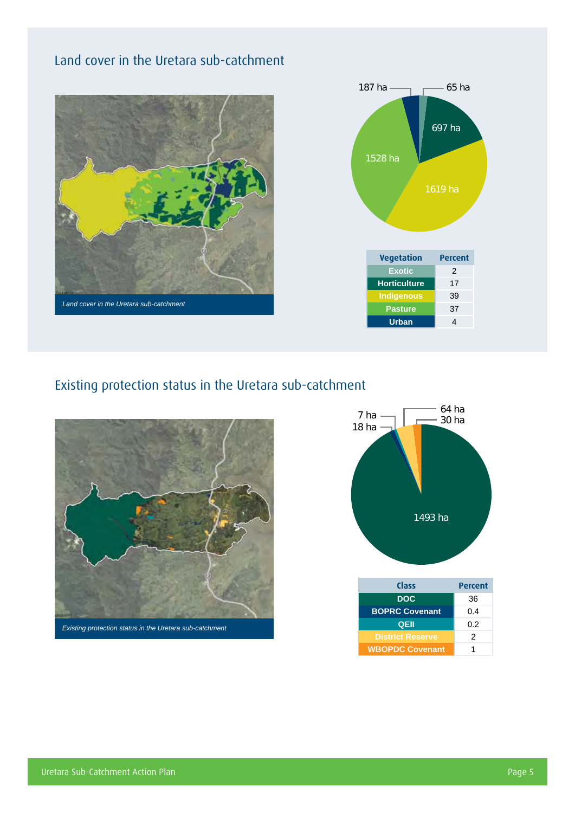### Land cover in the Uretara sub-catchment





### Existing protection status in the Uretara sub-catchment



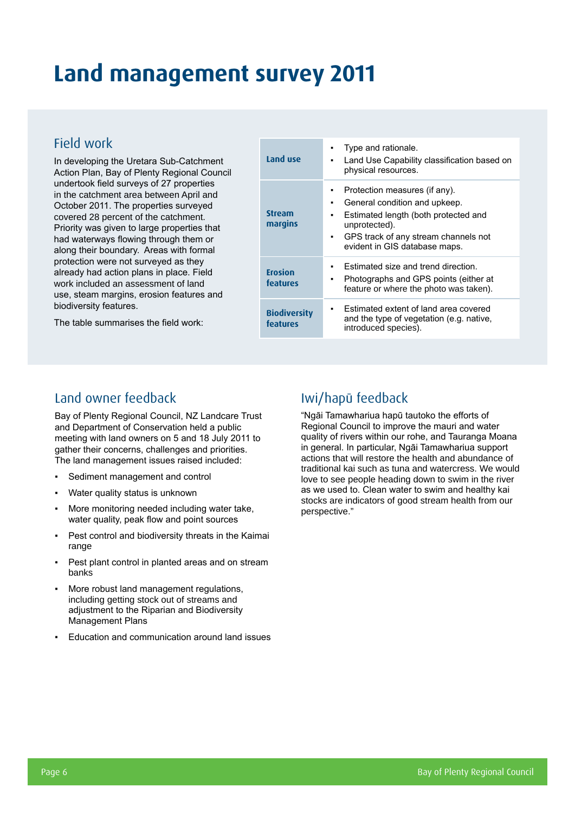## **Land management survey 2011**

#### Field work

In developing the Uretara Sub-Catchment Action Plan, Bay of Plenty Regional Council undertook field surveys of 27 properties in the catchment area between April and October 2011. The properties surveyed covered 28 percent of the catchment. Priority was given to large properties that had waterways flowing through them or along their boundary. Areas with formal protection were not surveyed as they already had action plans in place. Field work included an assessment of land use, steam margins, erosion features and biodiversity features.

The table summarises the field work:

| Land use                        | Type and rationale.<br>Land Use Capability classification based on<br>physical resources.                                                                                                                  |
|---------------------------------|------------------------------------------------------------------------------------------------------------------------------------------------------------------------------------------------------------|
| Stream<br>margins               | Protection measures (if any).<br>General condition and upkeep.<br>٠<br>Estimated length (both protected and<br>unprotected).<br>GPS track of any stream channels not<br>٠<br>evident in GIS database maps. |
| <b>Erosion</b><br>features      | Estimated size and trend direction.<br>Photographs and GPS points (either at<br>feature or where the photo was taken).                                                                                     |
| <b>Biodiversity</b><br>features | Estimated extent of land area covered<br>and the type of vegetation (e.g. native,<br>introduced species).                                                                                                  |

#### Land owner feedback

Bay of Plenty Regional Council, NZ Landcare Trust and Department of Conservation held a public meeting with land owners on 5 and 18 July 2011 to gather their concerns, challenges and priorities. The land management issues raised included:

- Sediment management and control
- Water quality status is unknown
- More monitoring needed including water take, water quality, peak flow and point sources
- Pest control and biodiversity threats in the Kaimai range
- Pest plant control in planted areas and on stream banks
- More robust land management regulations, including getting stock out of streams and adjustment to the Riparian and Biodiversity Management Plans
- Education and communication around land issues

#### Iwi/hapū feedback

"Ngāi Tamawhariua hapū tautoko the efforts of Regional Council to improve the mauri and water quality of rivers within our rohe, and Tauranga Moana in general. In particular, Ngāi Tamawhariua support actions that will restore the health and abundance of traditional kai such as tuna and watercress. We would love to see people heading down to swim in the river as we used to. Clean water to swim and healthy kai stocks are indicators of good stream health from our perspective."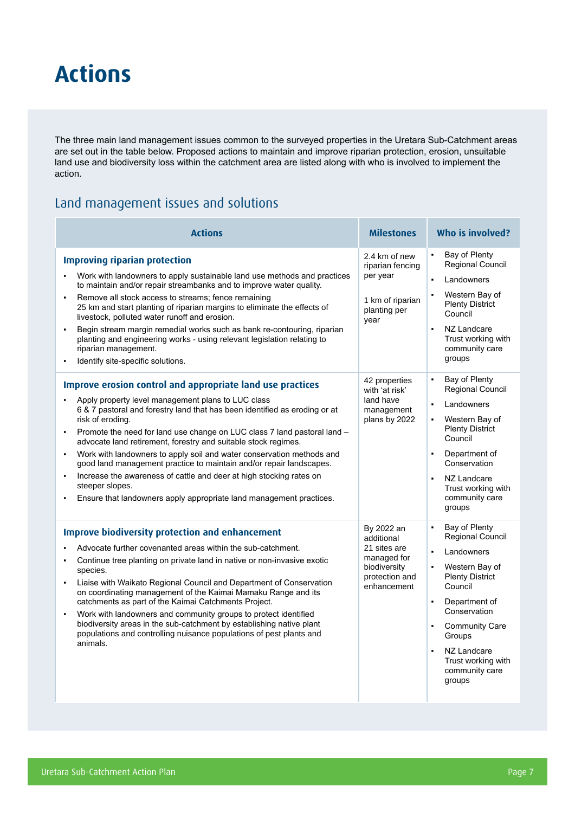### **Actions**

The three main land management issues common to the surveyed properties in the Uretara Sub-Catchment areas are set out in the table below. Proposed actions to maintain and improve riparian protection, erosion, unsuitable land use and biodiversity loss within the catchment area are listed along with who is involved to implement the action.

#### Land management issues and solutions

| <b>Actions</b>                                                                                                                                                                                                                                                                                                                                                                                                                                                                                                                                                                                                                                                                                                             | <b>Milestones</b>                                                                                        | <b>Who is involved?</b>                                                                                                                                                                                                                                                                                                               |  |  |
|----------------------------------------------------------------------------------------------------------------------------------------------------------------------------------------------------------------------------------------------------------------------------------------------------------------------------------------------------------------------------------------------------------------------------------------------------------------------------------------------------------------------------------------------------------------------------------------------------------------------------------------------------------------------------------------------------------------------------|----------------------------------------------------------------------------------------------------------|---------------------------------------------------------------------------------------------------------------------------------------------------------------------------------------------------------------------------------------------------------------------------------------------------------------------------------------|--|--|
| <b>Improving riparian protection</b><br>Work with landowners to apply sustainable land use methods and practices<br>$\blacksquare$<br>to maintain and/or repair streambanks and to improve water quality.<br>Remove all stock access to streams; fence remaining<br>25 km and start planting of riparian margins to eliminate the effects of<br>livestock, polluted water runoff and erosion.<br>Begin stream margin remedial works such as bank re-contouring, riparian<br>$\blacksquare$<br>planting and engineering works - using relevant legislation relating to<br>riparian management.<br>Identify site-specific solutions.                                                                                         | 2.4 km of new<br>riparian fencing<br>per year<br>1 km of riparian<br>planting per<br>year                | Bay of Plenty<br>$\blacksquare$<br>Regional Council<br>Landowners<br>$\blacksquare$<br>Western Bay of<br>$\blacksquare$<br><b>Plenty District</b><br>Council<br>NZ Landcare<br>Trust working with<br>community care<br>groups                                                                                                         |  |  |
| Improve erosion control and appropriate land use practices<br>Apply property level management plans to LUC class<br>6 & 7 pastoral and forestry land that has been identified as eroding or at<br>risk of eroding.<br>Promote the need for land use change on LUC class 7 land pastoral land -<br>٠<br>advocate land retirement, forestry and suitable stock regimes.<br>Work with landowners to apply soil and water conservation methods and<br>$\blacksquare$<br>good land management practice to maintain and/or repair landscapes.<br>Increase the awareness of cattle and deer at high stocking rates on<br>$\blacksquare$<br>steeper slopes.<br>Ensure that landowners apply appropriate land management practices. | 42 properties<br>with 'at risk'<br>land have<br>management<br>plans by 2022                              | Bay of Plenty<br>$\blacksquare$<br>Regional Council<br>Landowners<br>$\blacksquare$<br>Western Bay of<br>$\blacksquare$<br><b>Plenty District</b><br>Council<br>Department of<br>$\blacksquare$<br>Conservation<br>NZ Landcare<br>$\blacksquare$<br>Trust working with<br>community care<br>groups                                    |  |  |
| <b>Improve biodiversity protection and enhancement</b><br>Advocate further covenanted areas within the sub-catchment.<br>Continue tree planting on private land in native or non-invasive exotic<br>species.<br>Liaise with Waikato Regional Council and Department of Conservation<br>٠<br>on coordinating management of the Kaimai Mamaku Range and its<br>catchments as part of the Kaimai Catchments Project.<br>Work with landowners and community groups to protect identified<br>٠<br>biodiversity areas in the sub-catchment by establishing native plant<br>populations and controlling nuisance populations of pest plants and<br>animals.                                                                       | By 2022 an<br>additional<br>21 sites are<br>managed for<br>biodiversity<br>protection and<br>enhancement | Bay of Plenty<br>$\blacksquare$<br>Regional Council<br>Landowners<br>$\blacksquare$<br>Western Bay of<br>$\blacksquare$<br><b>Plenty District</b><br>Council<br>Department of<br>$\blacksquare$<br>Conservation<br><b>Community Care</b><br>Groups<br>NZ Landcare<br>$\blacksquare$<br>Trust working with<br>community care<br>groups |  |  |